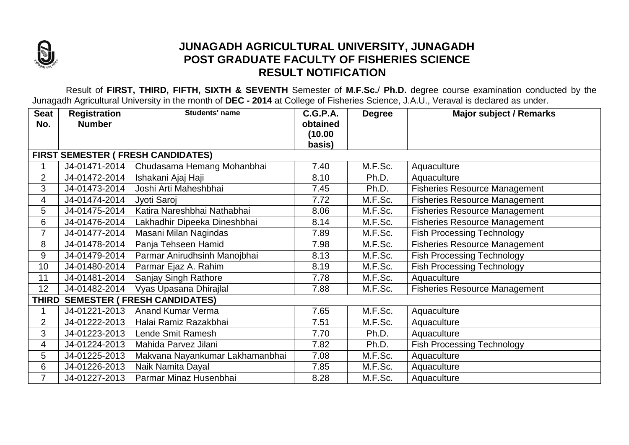

## **JUNAGADH AGRICULTURAL UNIVERSITY, JUNAGADH POST GRADUATE FACULTY OF FISHERIES SCIENCE RESULT NOTIFICATION**

Result of **FIRST, THIRD, FIFTH, SIXTH & SEVENTH** Semester of **M.F.Sc.**/ **Ph.D.** degree course examination conducted by the Junagadh Agricultural University in the month of **DEC - 2014** at College of Fisheries Science, J.A.U., Veraval is declared as under.

| <b>Seat</b>                                         | <b>Registration</b> | <b>Students' name</b>           | <b>C.G.P.A.</b> | <b>Degree</b> | <b>Major subject / Remarks</b>       |  |  |  |  |  |
|-----------------------------------------------------|---------------------|---------------------------------|-----------------|---------------|--------------------------------------|--|--|--|--|--|
| No.                                                 | <b>Number</b>       |                                 | obtained        |               |                                      |  |  |  |  |  |
|                                                     |                     |                                 | (10.00)         |               |                                      |  |  |  |  |  |
|                                                     |                     |                                 | basis)          |               |                                      |  |  |  |  |  |
| <b>FIRST SEMESTER ( FRESH CANDIDATES)</b>           |                     |                                 |                 |               |                                      |  |  |  |  |  |
|                                                     | J4-01471-2014       | Chudasama Hemang Mohanbhai      | 7.40            | M.F.Sc.       | Aquaculture                          |  |  |  |  |  |
| $\overline{2}$                                      | J4-01472-2014       | Ishakani Ajaj Haji              | 8.10            | Ph.D.         | Aquaculture                          |  |  |  |  |  |
| 3                                                   | J4-01473-2014       | Joshi Arti Maheshbhai           | 7.45            | Ph.D.         | <b>Fisheries Resource Management</b> |  |  |  |  |  |
| 4                                                   | J4-01474-2014       | Jyoti Saroj                     | 7.72            | M.F.Sc.       | <b>Fisheries Resource Management</b> |  |  |  |  |  |
| 5                                                   | J4-01475-2014       | Katira Nareshbhai Nathabhai     | 8.06            | M.F.Sc.       | <b>Fisheries Resource Management</b> |  |  |  |  |  |
| 6                                                   | J4-01476-2014       | Lakhadhir Dipeeka Dineshbhai    | 8.14            | M.F.Sc.       | <b>Fisheries Resource Management</b> |  |  |  |  |  |
| $\overline{7}$                                      | J4-01477-2014       | Masani Milan Nagindas           | 7.89            | M.F.Sc.       | <b>Fish Processing Technology</b>    |  |  |  |  |  |
| 8                                                   | J4-01478-2014       | Panja Tehseen Hamid             | 7.98            | M.F.Sc.       | <b>Fisheries Resource Management</b> |  |  |  |  |  |
| 9                                                   | J4-01479-2014       | Parmar Anirudhsinh Manojbhai    | 8.13            | M.F.Sc.       | <b>Fish Processing Technology</b>    |  |  |  |  |  |
| 10                                                  | J4-01480-2014       | Parmar Ejaz A. Rahim            | 8.19            | M.F.Sc.       | <b>Fish Processing Technology</b>    |  |  |  |  |  |
| 11                                                  | J4-01481-2014       | Sanjay Singh Rathore            | 7.78            | M.F.Sc.       | Aquaculture                          |  |  |  |  |  |
| 12                                                  | J4-01482-2014       | Vyas Upasana Dhirajlal          | 7.88            | M.F.Sc.       | <b>Fisheries Resource Management</b> |  |  |  |  |  |
| <b>SEMESTER ( FRESH CANDIDATES)</b><br><b>THIRD</b> |                     |                                 |                 |               |                                      |  |  |  |  |  |
|                                                     | J4-01221-2013       | <b>Anand Kumar Verma</b>        | 7.65            | M.F.Sc.       | Aquaculture                          |  |  |  |  |  |
| $\overline{2}$                                      | J4-01222-2013       | Halai Ramiz Razakbhai           | 7.51            | M.F.Sc.       | Aquaculture                          |  |  |  |  |  |
| 3                                                   | J4-01223-2013       | Lende Smit Ramesh               | 7.70            | Ph.D.         | Aquaculture                          |  |  |  |  |  |
| 4                                                   | J4-01224-2013       | Mahida Parvez Jilani            | 7.82            | Ph.D.         | <b>Fish Processing Technology</b>    |  |  |  |  |  |
| 5                                                   | J4-01225-2013       | Makvana Nayankumar Lakhamanbhai | 7.08            | M.F.Sc.       | Aquaculture                          |  |  |  |  |  |
| 6                                                   | J4-01226-2013       | Naik Namita Dayal               | 7.85            | M.F.Sc.       | Aquaculture                          |  |  |  |  |  |
| 7                                                   | J4-01227-2013       | Parmar Minaz Husenbhai          | 8.28            | M.F.Sc.       | Aquaculture                          |  |  |  |  |  |